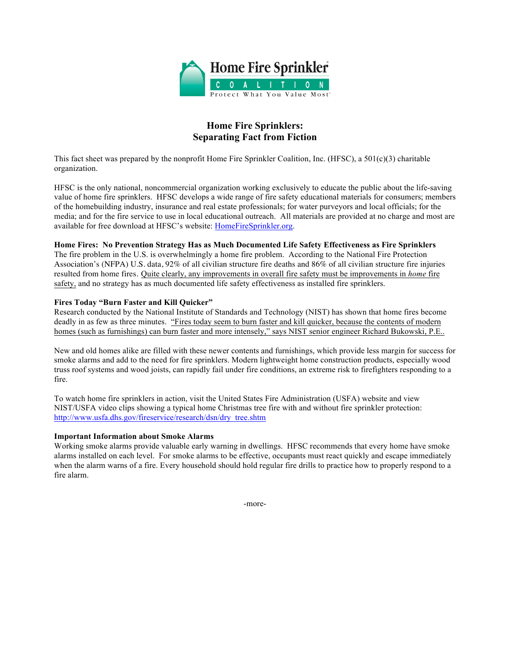

# **Home Fire Sprinklers: Separating Fact from Fiction**

This fact sheet was prepared by the nonprofit Home Fire Sprinkler Coalition, Inc. (HFSC), a 501(c)(3) charitable organization.

HFSC is the only national, noncommercial organization working exclusively to educate the public about the life-saving value of home fire sprinklers. HFSC develops a wide range of fire safety educational materials for consumers; members of the homebuilding industry, insurance and real estate professionals; for water purveyors and local officials; for the media; and for the fire service to use in local educational outreach. All materials are provided at no charge and most are available for free download at HFSC's website: HomeFireSprinkler.org.

# **Home Fires: No Prevention Strategy Has as Much Documented Life Safety Effectiveness as Fire Sprinklers**

The fire problem in the U.S. is overwhelmingly a home fire problem. According to the National Fire Protection Association's (NFPA) U.S. data, 92% of all civilian structure fire deaths and 86% of all civilian structure fire injuries resulted from home fires. Quite clearly, any improvements in overall fire safety must be improvements in *home* fire safety, and no strategy has as much documented life safety effectiveness as installed fire sprinklers.

#### **Fires Today "Burn Faster and Kill Quicker"**

Research conducted by the National Institute of Standards and Technology (NIST) has shown that home fires become deadly in as few as three minutes. "Fires today seem to burn faster and kill quicker, because the contents of modern homes (such as furnishings) can burn faster and more intensely," says NIST senior engineer Richard Bukowski, P.E..

New and old homes alike are filled with these newer contents and furnishings, which provide less margin for success for smoke alarms and add to the need for fire sprinklers. Modern lightweight home construction products, especially wood truss roof systems and wood joists, can rapidly fail under fire conditions, an extreme risk to firefighters responding to a fire.

To watch home fire sprinklers in action, visit the United States Fire Administration (USFA) website and view NIST/USFA video clips showing a typical home Christmas tree fire with and without fire sprinkler protection: http://www.usfa.dhs.gov/fireservice/research/dsn/dry\_tree.shtm

# **Important Information about Smoke Alarms**

Working smoke alarms provide valuable early warning in dwellings. HFSC recommends that every home have smoke alarms installed on each level. For smoke alarms to be effective, occupants must react quickly and escape immediately when the alarm warns of a fire. Every household should hold regular fire drills to practice how to properly respond to a fire alarm.

-more-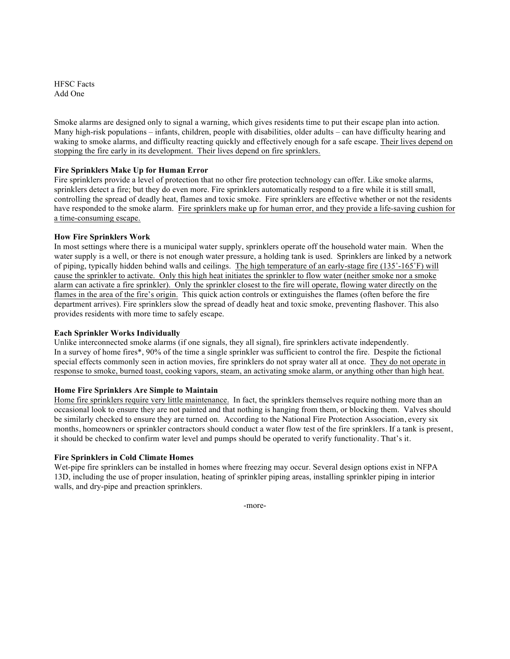HFSC Facts Add One

Smoke alarms are designed only to signal a warning, which gives residents time to put their escape plan into action. Many high-risk populations – infants, children, people with disabilities, older adults – can have difficulty hearing and waking to smoke alarms, and difficulty reacting quickly and effectively enough for a safe escape. Their lives depend on stopping the fire early in its development. Their lives depend on fire sprinklers.

# **Fire Sprinklers Make Up for Human Error**

Fire sprinklers provide a level of protection that no other fire protection technology can offer. Like smoke alarms, sprinklers detect a fire; but they do even more. Fire sprinklers automatically respond to a fire while it is still small, controlling the spread of deadly heat, flames and toxic smoke. Fire sprinklers are effective whether or not the residents have responded to the smoke alarm. Fire sprinklers make up for human error, and they provide a life-saving cushion for a time-consuming escape.

# **How Fire Sprinklers Work**

In most settings where there is a municipal water supply, sprinklers operate off the household water main. When the water supply is a well, or there is not enough water pressure, a holding tank is used. Sprinklers are linked by a network of piping, typically hidden behind walls and ceilings. The high temperature of an early-stage fire (135˚-165˚F) will cause the sprinkler to activate. Only this high heat initiates the sprinkler to flow water (neither smoke nor a smoke alarm can activate a fire sprinkler). Only the sprinkler closest to the fire will operate, flowing water directly on the flames in the area of the fire's origin. This quick action controls or extinguishes the flames (often before the fire department arrives). Fire sprinklers slow the spread of deadly heat and toxic smoke, preventing flashover. This also provides residents with more time to safely escape.

#### **Each Sprinkler Works Individually**

Unlike interconnected smoke alarms (if one signals, they all signal), fire sprinklers activate independently. In a survey of home fires\*, 90% of the time a single sprinkler was sufficient to control the fire. Despite the fictional special effects commonly seen in action movies, fire sprinklers do not spray water all at once. They do not operate in response to smoke, burned toast, cooking vapors, steam, an activating smoke alarm, or anything other than high heat.

# **Home Fire Sprinklers Are Simple to Maintain**

Home fire sprinklers require very little maintenance. In fact, the sprinklers themselves require nothing more than an occasional look to ensure they are not painted and that nothing is hanging from them, or blocking them. Valves should be similarly checked to ensure they are turned on. According to the National Fire Protection Association, every six months, homeowners or sprinkler contractors should conduct a water flow test of the fire sprinklers. If a tank is present, it should be checked to confirm water level and pumps should be operated to verify functionality. That's it.

# **Fire Sprinklers in Cold Climate Homes**

Wet-pipe fire sprinklers can be installed in homes where freezing may occur. Several design options exist in NFPA 13D, including the use of proper insulation, heating of sprinkler piping areas, installing sprinkler piping in interior walls, and dry-pipe and preaction sprinklers.

-more-